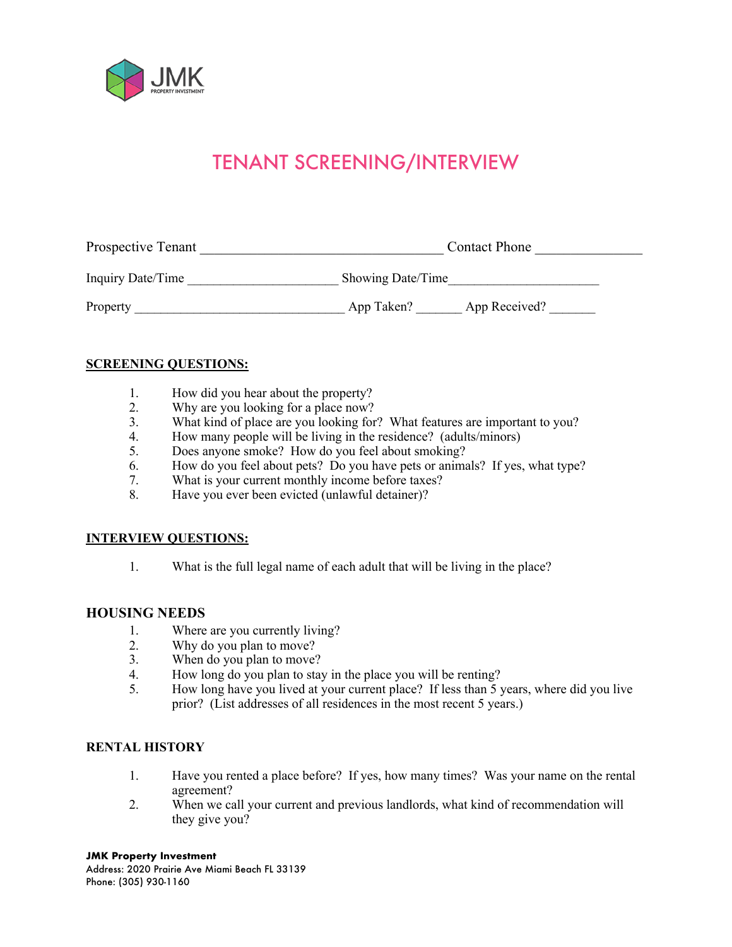

# TENANT SCREENING/INTERVIEW

| Prospective Tenant |                   | <b>Contact Phone</b> |  |
|--------------------|-------------------|----------------------|--|
| Inquiry Date/Time  | Showing Date/Time |                      |  |
| Property           | App Taken?        | App Received?        |  |

#### **SCREENING QUESTIONS:**

- 1. How did you hear about the property?
- 2. Why are you looking for a place now?<br>3. What kind of place are you looking for
- What kind of place are you looking for? What features are important to you?
- 4. How many people will be living in the residence? (adults/minors)
- 5. Does anyone smoke? How do you feel about smoking?
- 6. How do you feel about pets? Do you have pets or animals? If yes, what type?<br>7. What is your current monthly income before taxes?
- 7. What is your current monthly income before taxes?<br>8. Have you ever been evicted (unlawful detainer)?
- Have you ever been evicted (unlawful detainer)?

#### **INTERVIEW QUESTIONS:**

1. What is the full legal name of each adult that will be living in the place?

#### **HOUSING NEEDS**

- 1. Where are you currently living?<br>2. Why do you plan to move?
- 
- 2. Why do you plan to move?<br>3. When do you plan to move? When do you plan to move?
- 4. How long do you plan to stay in the place you will be renting?
- 5. How long have you lived at your current place? If less than 5 years, where did you live prior? (List addresses of all residences in the most recent 5 years.)

#### **RENTAL HISTORY**

- 1. Have you rented a place before? If yes, how many times? Was your name on the rental agreement?
- 2. When we call your current and previous landlords, what kind of recommendation will they give you?

### **JMK Property Investment**

Address: 2020 Prairie Ave Miami Beach FL 33139 Phone: (305) 930-1160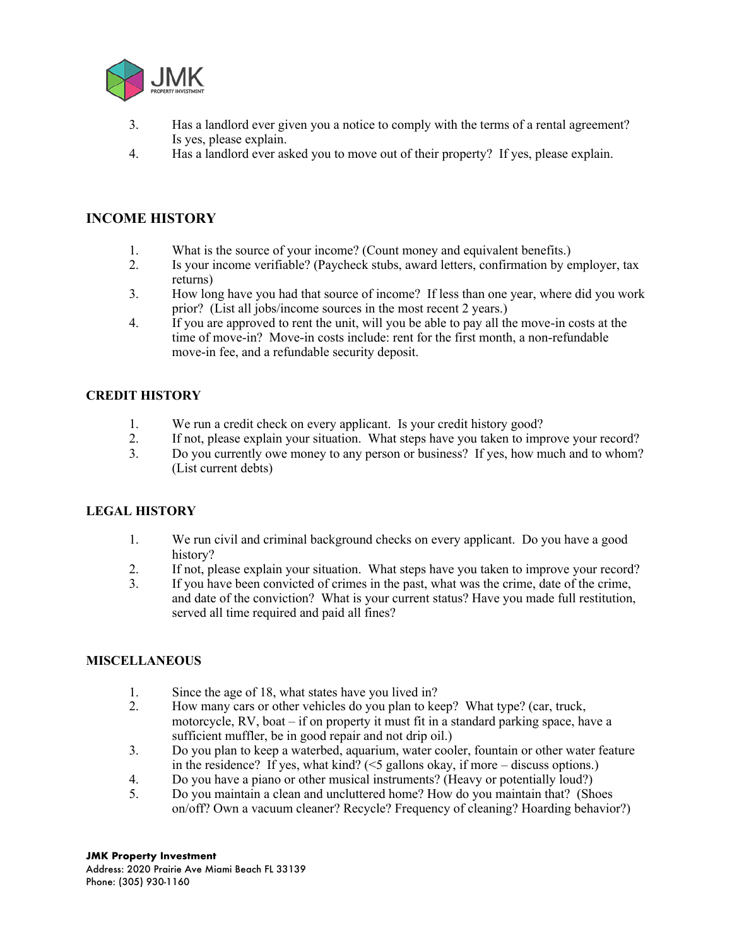

- 3. Has a landlord ever given you a notice to comply with the terms of a rental agreement? Is yes, please explain.
- 4. Has a landlord ever asked you to move out of their property? If yes, please explain.

## **INCOME HISTORY**

- 1. What is the source of your income? (Count money and equivalent benefits.)
- 2. Is your income verifiable? (Paycheck stubs, award letters, confirmation by employer, tax returns)
- 3. How long have you had that source of income? If less than one year, where did you work prior? (List all jobs/income sources in the most recent 2 years.)
- 4. If you are approved to rent the unit, will you be able to pay all the move-in costs at the time of move-in? Move-in costs include: rent for the first month, a non-refundable move-in fee, and a refundable security deposit.

### **CREDIT HISTORY**

- 1. We run a credit check on every applicant. Is your credit history good?
- 2. If not, please explain your situation. What steps have you taken to improve your record?
- 3. Do you currently owe money to any person or business? If yes, how much and to whom? (List current debts)

### **LEGAL HISTORY**

- 1. We run civil and criminal background checks on every applicant. Do you have a good history?
- 2. If not, please explain your situation. What steps have you taken to improve your record?
- 3. If you have been convicted of crimes in the past, what was the crime, date of the crime, and date of the conviction? What is your current status? Have you made full restitution, served all time required and paid all fines?

### **MISCELLANEOUS**

- 1. Since the age of 18, what states have you lived in?
- 2. How many cars or other vehicles do you plan to keep? What type? (car, truck, motorcycle, RV, boat – if on property it must fit in a standard parking space, have a sufficient muffler, be in good repair and not drip oil.)
- 3. Do you plan to keep a waterbed, aquarium, water cooler, fountain or other water feature in the residence? If yes, what kind? (<5 gallons okay, if more – discuss options.)
- 4. Do you have a piano or other musical instruments? (Heavy or potentially loud?)
- 5. Do you maintain a clean and uncluttered home? How do you maintain that? (Shoes on/off? Own a vacuum cleaner? Recycle? Frequency of cleaning? Hoarding behavior?)